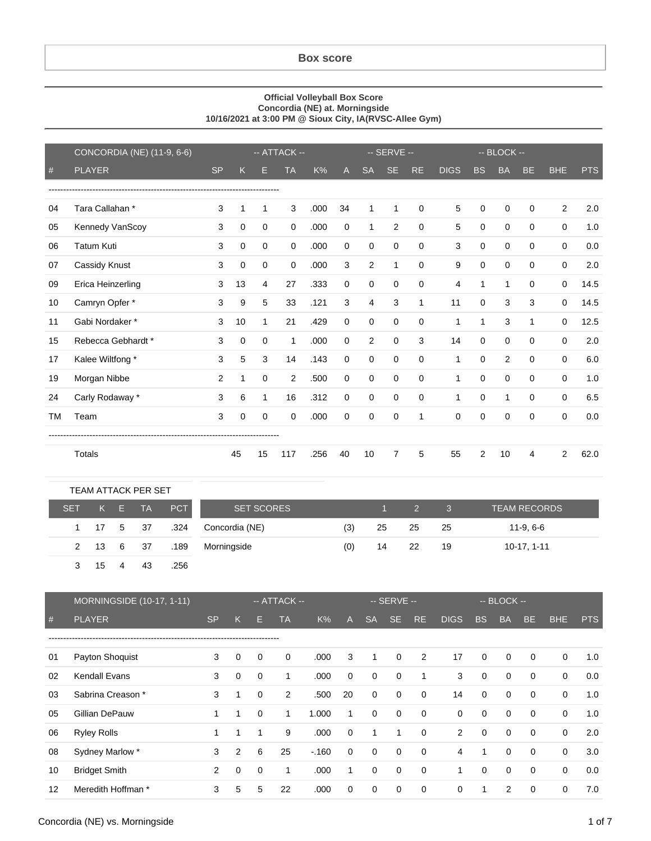## **Box score**

## **Official Volleyball Box Score Concordia (NE) at. Morningside 10/16/2021 at 3:00 PM @ Sioux City, IA(RVSC-Allee Gym)**

|           | CONCORDIA (NE) (11-9, 6-6) | -- ATTACK --   |              |              |                |      | -- SERVE -- |              |             |             | -- BLOCK --  |             |              |             |                |            |
|-----------|----------------------------|----------------|--------------|--------------|----------------|------|-------------|--------------|-------------|-------------|--------------|-------------|--------------|-------------|----------------|------------|
| #         | <b>PLAYER</b>              | <b>SP</b>      | K            | н            | <b>TA</b>      | K%   | A           | <b>SA</b>    | <b>SE</b>   | RE.         | <b>DIGS</b>  | BS          | <b>BA</b>    | <b>BE</b>   | <b>BHE</b>     | <b>PTS</b> |
|           |                            |                |              |              |                |      |             |              |             |             |              |             |              |             |                |            |
| 04        | Tara Callahan*             | 3              | 1            | 1            | 3              | .000 | 34          | 1            | 1           | $\mathbf 0$ | 5            | 0           | 0            | $\Omega$    | $\overline{2}$ | 2.0        |
| 05        | Kennedy VanScoy            | 3              | $\mathbf 0$  | $\mathbf 0$  | 0              | .000 | $\mathbf 0$ | $\mathbf{1}$ | 2           | 0           | 5            | $\mathbf 0$ | 0            | $\Omega$    | 0              | 1.0        |
| 06        | <b>Tatum Kuti</b>          | 3              | $\mathbf 0$  | $\mathbf 0$  | $\mathbf 0$    | .000 | $\mathbf 0$ | $\mathbf 0$  | $\mathbf 0$ | $\mathbf 0$ | 3            | $\mathbf 0$ | 0            | $\Omega$    | 0              | 0.0        |
| 07        | Cassidy Knust              | 3              | $\mathbf 0$  | $\mathbf 0$  | 0              | .000 | 3           | 2            | 1           | $\mathbf 0$ | 9            | 0           | 0            | $\Omega$    | $\mathbf 0$    | 2.0        |
| 09        | Erica Heinzerling          | 3              | 13           | 4            | 27             | .333 | $\mathbf 0$ | 0            | $\Omega$    | $\Omega$    | 4            | 1           | $\mathbf 1$  | $\Omega$    | 0              | 14.5       |
| 10        | Camryn Opfer *             | 3              | 9            | 5            | 33             | .121 | 3           | 4            | 3           | 1           | 11           | 0           | 3            | 3           | 0              | 14.5       |
| 11        | Gabi Nordaker*             | 3              | 10           | $\mathbf{1}$ | 21             | .429 | $\mathbf 0$ | 0            | $\Omega$    | 0           | 1            | 1           | 3            | 1           | 0              | 12.5       |
| 15        | Rebecca Gebhardt *         | 3              | $\mathbf 0$  | $\mathbf 0$  | 1              | .000 | $\mathbf 0$ | 2            | $\Omega$    | 3           | 14           | 0           | 0            | $\Omega$    | $\mathbf 0$    | 2.0        |
| 17        | Kalee Wiltfong *           | 3              | 5            | 3            | 14             | .143 | $\mathbf 0$ | 0            | 0           | 0           | 1            | 0           | 2            | $\Omega$    | 0              | 6.0        |
| 19        | Morgan Nibbe               | $\overline{c}$ | $\mathbf{1}$ | $\mathbf 0$  | $\overline{2}$ | .500 | $\mathbf 0$ | $\mathbf 0$  | $\mathbf 0$ | $\mathbf 0$ | $\mathbf{1}$ | 0           | 0            | $\mathbf 0$ | 0              | 1.0        |
| 24        | Carly Rodaway *            | 3              | 6            | $\mathbf{1}$ | 16             | .312 | $\mathbf 0$ | $\mathbf 0$  | $\Omega$    | $\mathbf 0$ | 1            | $\Omega$    | $\mathbf{1}$ | $\Omega$    | $\mathbf 0$    | 6.5        |
| <b>TM</b> | Team                       | 3              | $\mathbf 0$  | $\Omega$     | $\Omega$       | .000 | $\Omega$    | 0            | $\Omega$    | 1           | $\Omega$     | $\Omega$    | 0            | $\Omega$    | $\mathbf 0$    | 0.0        |
|           |                            |                |              |              |                |      |             |              |             |             |              |             |              |             |                |            |
|           | Totals                     |                | 45           | 15           | 117            | .256 | 40          | 10           | 7           | 5           | 55           | 2           | 10           | 4           | 2              | 62.0       |

| TEAM ATTACK PER SET |           |       |           |      |                   |     |    |                   |            |                     |
|---------------------|-----------|-------|-----------|------|-------------------|-----|----|-------------------|------------|---------------------|
| <b>SET</b>          |           | $K$ E | <b>TA</b> | PCT  | <b>SET SCORES</b> |     |    | $\sim$ 1 $\sim$ 2 | $\sqrt{3}$ | <b>TEAM RECORDS</b> |
|                     | 1 17 5 37 |       |           | .324 | Concordia (NE)    | (3) | 25 | 25                | - 25       | 11-9, 6-6           |
|                     | 2 13 6 37 |       |           | .189 | Morningside       | (0) | 14 | - 22              | -19        | 10-17, 1-11         |
|                     | - 15      | 4     | 43        | .256 |                   |     |    |                   |            |                     |

|    | <b>MORNINGSIDE</b> (10-17, 1-11) |           |          |          | -- ATTACK --   | '-- SERVE -- ,<br>$-$ BLOCK $-$ |             |              |             |             |                |             |             |             |             |            |
|----|----------------------------------|-----------|----------|----------|----------------|---------------------------------|-------------|--------------|-------------|-------------|----------------|-------------|-------------|-------------|-------------|------------|
| #  | <b>PLAYER</b>                    | <b>SP</b> | K        | E        | TA             | K%                              | A           | <b>SA</b>    | <b>SE</b>   | RE.         | <b>DIGS</b>    | <b>BS</b>   | <b>BA</b>   | <b>BE</b>   | <b>BHE</b>  | <b>PTS</b> |
|    |                                  |           |          |          |                |                                 |             |              |             |             |                |             |             |             |             |            |
| 01 | Payton Shoquist                  | 3         | $\Omega$ | $\Omega$ | $\mathbf 0$    | .000                            | 3           | $\mathbf{1}$ | $\mathbf 0$ | 2           | 17             | $\Omega$    | $\mathbf 0$ | $\Omega$    | $\Omega$    | 1.0        |
| 02 | <b>Kendall Evans</b>             | 3         | $\Omega$ | $\Omega$ | 1              | .000                            | $\mathbf 0$ | 0            | 0           | 1           | 3              | $\mathbf 0$ | $\mathbf 0$ | $\mathbf 0$ | $\mathbf 0$ | 0.0        |
| 03 | Sabrina Creason *                | 3         |          | $\Omega$ | $\overline{2}$ | .500                            | 20          | $\mathbf 0$  | $\mathbf 0$ | $\mathbf 0$ | 14             | $\mathbf 0$ | $\mathbf 0$ | $\mathbf 0$ | $\mathbf 0$ | 1.0        |
| 05 | Gillian DePauw                   | 1         | 1        | $\Omega$ | 1              | 1.000                           | 1           | $\mathbf 0$  | 0           | 0           | $\mathbf 0$    | $\mathbf 0$ | $\mathbf 0$ | $\mathbf 0$ | $\mathbf 0$ | 1.0        |
| 06 | <b>Ryley Rolls</b>               |           |          |          | 9              | .000                            | $\mathbf 0$ | 1            | 1           | $\mathbf 0$ | $\overline{2}$ | $\mathbf 0$ | $\mathbf 0$ | 0           | $\mathbf 0$ | 2.0        |
| 08 | Sydney Marlow *                  | 3         | 2        | 6        | 25             | $-160$                          | 0           | $\mathbf 0$  | 0           | $\mathbf 0$ | 4              | 1           | 0           | $\mathbf 0$ | $\mathbf 0$ | 3.0        |
| 10 | <b>Bridget Smith</b>             | 2         | 0        | 0        | 1              | .000                            | 1           | $\mathbf 0$  | 0           | $\mathbf 0$ | 1              | $\mathbf 0$ | $\mathbf 0$ | 0           | $\mathbf 0$ | 0.0        |
| 12 | Meredith Hoffman *               | 3         | 5        | 5        | 22             | .000                            | $\Omega$    | $\mathbf 0$  | 0           | $\Omega$    | 0              | 1           | 2           | $\Omega$    | $\Omega$    | 7.0        |

## Concordia (NE) vs. Morningside 1 of 7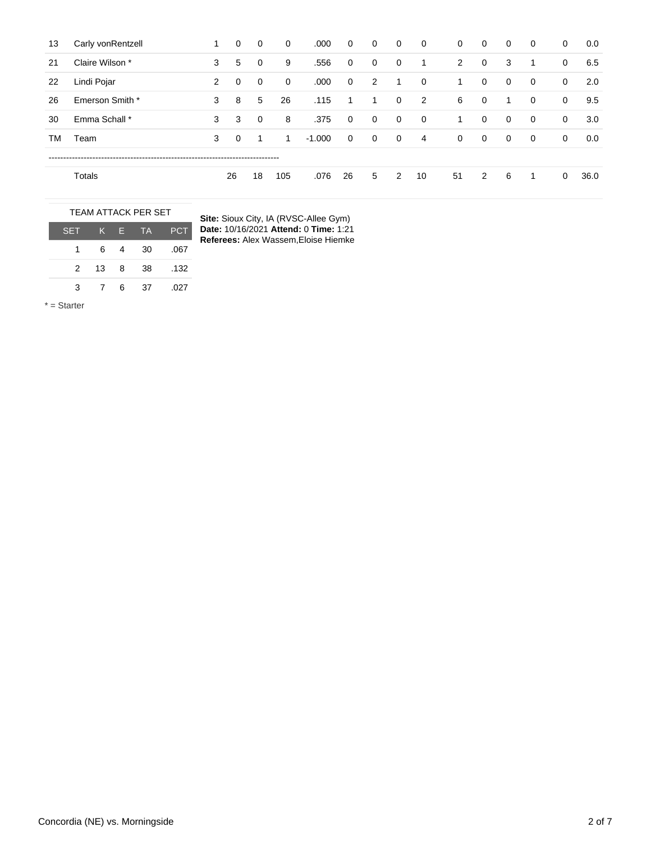| 13 | Carly vonRentzell |   | 0           | 0           | 0   | .000     | $\mathbf{0}$   | $\mathbf 0$ | 0              | $\mathbf{0}$   | 0              | $\mathbf{0}$   | 0            | $\overline{0}$ | 0            | 0.0  |
|----|-------------------|---|-------------|-------------|-----|----------|----------------|-------------|----------------|----------------|----------------|----------------|--------------|----------------|--------------|------|
| 21 | Claire Wilson *   | 3 | 5           | $\mathbf 0$ | 9   | .556     | $\mathbf{0}$   | 0           | 0              | 1              | $\overline{2}$ | $\overline{0}$ | 3            | 1              | 0            | 6.5  |
| 22 | Lindi Pojar       | 2 | $\mathbf 0$ | $\mathbf 0$ | 0   | .000     | $\overline{0}$ | 2           | -1             | $\overline{0}$ | 1              | $\mathbf{0}$   | $\mathbf 0$  | $\overline{0}$ | $\mathbf{0}$ | 2.0  |
| 26 | Emerson Smith *   | 3 | 8           | 5           | 26  | .115     |                | 1           | 0              | $\overline{2}$ | 6              | $\mathbf{0}$   | 1            | $\overline{0}$ | $\mathbf{0}$ | 9.5  |
| 30 | Emma Schall *     | 3 | 3           | $\mathbf 0$ | 8   | .375     | $\overline{0}$ | $\mathbf 0$ | $\overline{0}$ | $\overline{0}$ | 1              | $\mathbf{0}$   | $\mathbf{0}$ | $\overline{0}$ | $\mathbf{0}$ | 3.0  |
| ТM | Team              | 3 | $\Omega$    | -1          | 1   | $-1.000$ | $\mathbf{0}$   | 0           | $\mathbf 0$    | $\overline{4}$ | $\mathbf 0$    | $\mathbf 0$    | $\mathbf 0$  | $\overline{0}$ | $\mathbf{0}$ | 0.0  |
|    |                   |   |             |             |     |          |                |             |                |                |                |                |              |                |              |      |
|    | Totals            |   | 26          | 18          | 105 | .076     | 26             | 5           | 2              | 10             | 51             | $\overline{2}$ | 6            | 1              | $\mathbf 0$  | 36.0 |

| <b>TEAM ATTACK PER SET</b> |     |   |           |      |  |  |  |  |  |  |
|----------------------------|-----|---|-----------|------|--|--|--|--|--|--|
| <b>SET</b>                 | K E |   | <b>TA</b> | PCT  |  |  |  |  |  |  |
|                            | 6   |   | 30        | .067 |  |  |  |  |  |  |
| $\mathcal{P}$              | 13  | 8 | 38        | .132 |  |  |  |  |  |  |
| З                          |     | 6 | 37        | .027 |  |  |  |  |  |  |

**Site:** Sioux City, IA (RVSC-Allee Gym) **Date:** 10/16/2021 **Attend:** 0 **Time:** 1:21 **Referees:** Alex Wassem,Eloise Hiemke

\* = Starter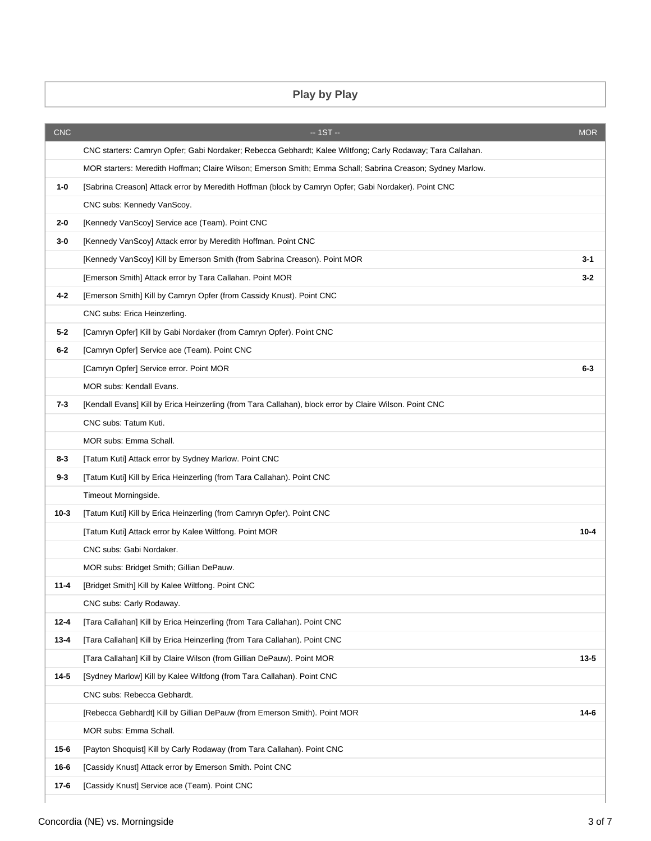## **Play by Play**

| <b>CNC</b> | $-1ST -$                                                                                                   | <b>MOR</b> |
|------------|------------------------------------------------------------------------------------------------------------|------------|
|            | CNC starters: Camryn Opfer; Gabi Nordaker; Rebecca Gebhardt; Kalee Wiltfong; Carly Rodaway; Tara Callahan. |            |
|            | MOR starters: Meredith Hoffman; Claire Wilson; Emerson Smith; Emma Schall; Sabrina Creason; Sydney Marlow. |            |
| $1 - 0$    | [Sabrina Creason] Attack error by Meredith Hoffman (block by Camryn Opfer; Gabi Nordaker). Point CNC       |            |
|            | CNC subs: Kennedy VanScoy.                                                                                 |            |
| 2-0        | [Kennedy VanScoy] Service ace (Team). Point CNC                                                            |            |
| 3-0        | [Kennedy VanScoy] Attack error by Meredith Hoffman. Point CNC                                              |            |
|            | [Kennedy VanScoy] Kill by Emerson Smith (from Sabrina Creason). Point MOR                                  | 3-1        |
|            | [Emerson Smith] Attack error by Tara Callahan. Point MOR                                                   | $3 - 2$    |
| 4-2        | [Emerson Smith] Kill by Camryn Opfer (from Cassidy Knust). Point CNC                                       |            |
|            | CNC subs: Erica Heinzerling.                                                                               |            |
| $5 - 2$    | [Camryn Opfer] Kill by Gabi Nordaker (from Camryn Opfer). Point CNC                                        |            |
| $6-2$      | [Camryn Opfer] Service ace (Team). Point CNC                                                               |            |
|            | [Camryn Opfer] Service error. Point MOR                                                                    | $6-3$      |
|            | MOR subs: Kendall Evans.                                                                                   |            |
| $7 - 3$    | [Kendall Evans] Kill by Erica Heinzerling (from Tara Callahan), block error by Claire Wilson. Point CNC    |            |
|            | CNC subs: Tatum Kuti.                                                                                      |            |
|            | MOR subs: Emma Schall.                                                                                     |            |
| 8-3        | [Tatum Kuti] Attack error by Sydney Marlow. Point CNC                                                      |            |
| $9 - 3$    | [Tatum Kuti] Kill by Erica Heinzerling (from Tara Callahan). Point CNC                                     |            |
|            | Timeout Morningside.                                                                                       |            |
| $10 - 3$   | [Tatum Kuti] Kill by Erica Heinzerling (from Camryn Opfer). Point CNC                                      |            |
|            | [Tatum Kuti] Attack error by Kalee Wiltfong. Point MOR                                                     | $10 - 4$   |
|            | CNC subs: Gabi Nordaker.                                                                                   |            |
|            | MOR subs: Bridget Smith; Gillian DePauw.                                                                   |            |
| $11 - 4$   | [Bridget Smith] Kill by Kalee Wiltfong. Point CNC                                                          |            |
|            | CNC subs: Carly Rodaway.                                                                                   |            |
| $12 - 4$   | [Tara Callahan] Kill by Erica Heinzerling (from Tara Callahan). Point CNC                                  |            |
| $13 - 4$   | [Tara Callahan] Kill by Erica Heinzerling (from Tara Callahan). Point CNC                                  |            |
|            | [Tara Callahan] Kill by Claire Wilson (from Gillian DePauw). Point MOR                                     | $13 - 5$   |
| $14 - 5$   | [Sydney Marlow] Kill by Kalee Wiltfong (from Tara Callahan). Point CNC                                     |            |
|            | CNC subs: Rebecca Gebhardt.                                                                                |            |
|            | [Rebecca Gebhardt] Kill by Gillian DePauw (from Emerson Smith). Point MOR                                  | $14-6$     |
|            | MOR subs: Emma Schall.                                                                                     |            |
| $15 - 6$   | [Payton Shoquist] Kill by Carly Rodaway (from Tara Callahan). Point CNC                                    |            |
| $16 - 6$   | [Cassidy Knust] Attack error by Emerson Smith. Point CNC                                                   |            |
| $17-6$     | [Cassidy Knust] Service ace (Team). Point CNC                                                              |            |
|            |                                                                                                            |            |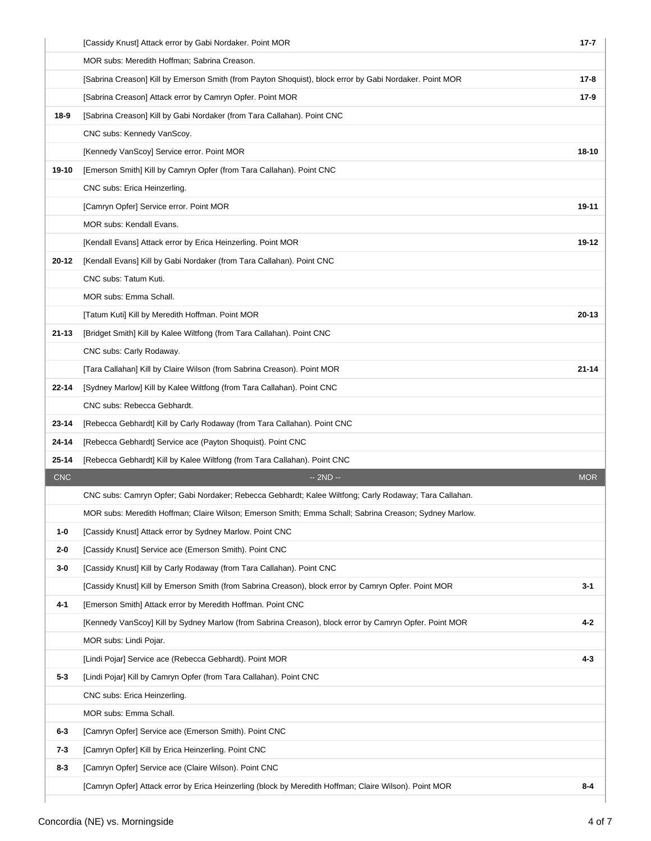|            | [Cassidy Knust] Attack error by Gabi Nordaker. Point MOR                                                | $17 - 7$   |
|------------|---------------------------------------------------------------------------------------------------------|------------|
|            | MOR subs: Meredith Hoffman; Sabrina Creason.                                                            |            |
|            | [Sabrina Creason] Kill by Emerson Smith (from Payton Shoquist), block error by Gabi Nordaker. Point MOR | $17-8$     |
|            | [Sabrina Creason] Attack error by Camryn Opfer. Point MOR                                               | $17-9$     |
| 18-9       | [Sabrina Creason] Kill by Gabi Nordaker (from Tara Callahan). Point CNC                                 |            |
|            | CNC subs: Kennedy VanScoy.                                                                              |            |
|            | [Kennedy VanScoy] Service error. Point MOR                                                              | 18-10      |
| 19-10      | [Emerson Smith] Kill by Camryn Opfer (from Tara Callahan). Point CNC                                    |            |
|            | CNC subs: Erica Heinzerling.                                                                            |            |
|            | [Camryn Opfer] Service error. Point MOR                                                                 | 19-11      |
|            | MOR subs: Kendall Evans.                                                                                |            |
|            | [Kendall Evans] Attack error by Erica Heinzerling. Point MOR                                            | 19-12      |
| 20-12      | [Kendall Evans] Kill by Gabi Nordaker (from Tara Callahan). Point CNC                                   |            |
|            | CNC subs: Tatum Kuti.                                                                                   |            |
|            | MOR subs: Emma Schall.                                                                                  |            |
|            | [Tatum Kuti] Kill by Meredith Hoffman. Point MOR                                                        | $20 - 13$  |
| 21-13      | [Bridget Smith] Kill by Kalee Wiltfong (from Tara Callahan). Point CNC                                  |            |
|            | CNC subs: Carly Rodaway.                                                                                |            |
|            | [Tara Callahan] Kill by Claire Wilson (from Sabrina Creason). Point MOR                                 | $21 - 14$  |
| 22-14      | [Sydney Marlow] Kill by Kalee Wiltfong (from Tara Callahan). Point CNC                                  |            |
|            | CNC subs: Rebecca Gebhardt.                                                                             |            |
| 23-14      | [Rebecca Gebhardt] Kill by Carly Rodaway (from Tara Callahan). Point CNC                                |            |
| 24-14      | [Rebecca Gebhardt] Service ace (Payton Shoquist). Point CNC                                             |            |
| 25-14      | [Rebecca Gebhardt] Kill by Kalee Wiltfong (from Tara Callahan). Point CNC                               |            |
| <b>CNC</b> | $-2ND -$                                                                                                | <b>MOR</b> |
|            | CNC subs: Camryn Opfer; Gabi Nordaker; Rebecca Gebhardt; Kalee Wiltfong; Carly Rodaway; Tara Callahan.  |            |
|            | MOR subs: Meredith Hoffman; Claire Wilson; Emerson Smith; Emma Schall; Sabrina Creason; Sydney Marlow.  |            |
| $1 - 0$    | [Cassidy Knust] Attack error by Sydney Marlow. Point CNC                                                |            |
| $2 - 0$    | [Cassidy Knust] Service ace (Emerson Smith). Point CNC                                                  |            |
| $3-0$      | [Cassidy Knust] Kill by Carly Rodaway (from Tara Callahan). Point CNC                                   |            |
|            | [Cassidy Knust] Kill by Emerson Smith (from Sabrina Creason), block error by Camryn Opfer. Point MOR    | $3 - 1$    |
| 4-1        | [Emerson Smith] Attack error by Meredith Hoffman. Point CNC                                             |            |
|            | [Kennedy VanScoy] Kill by Sydney Marlow (from Sabrina Creason), block error by Camryn Opfer. Point MOR  | $4 - 2$    |
|            | MOR subs: Lindi Pojar.                                                                                  |            |
|            | [Lindi Pojar] Service ace (Rebecca Gebhardt). Point MOR                                                 | $4 - 3$    |
| $5 - 3$    | [Lindi Pojar] Kill by Camryn Opfer (from Tara Callahan). Point CNC                                      |            |
|            | CNC subs: Erica Heinzerling.                                                                            |            |
|            | MOR subs: Emma Schall.                                                                                  |            |
| $6-3$      | [Camryn Opfer] Service ace (Emerson Smith). Point CNC                                                   |            |
| 7-3        | [Camryn Opfer] Kill by Erica Heinzerling. Point CNC                                                     |            |
| $8-3$      | [Camryn Opfer] Service ace (Claire Wilson). Point CNC                                                   |            |
|            | [Camryn Opfer] Attack error by Erica Heinzerling (block by Meredith Hoffman; Claire Wilson). Point MOR  | 8-4        |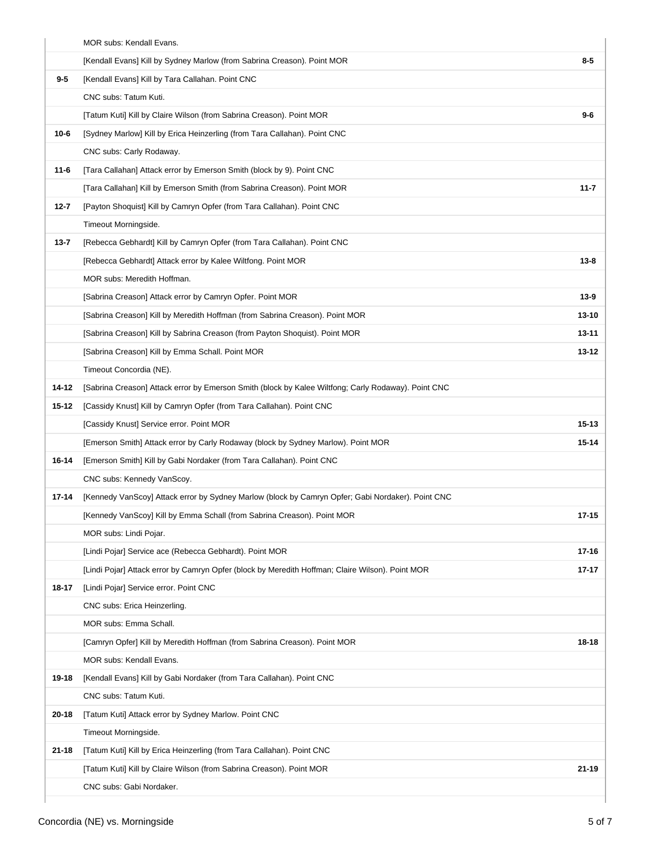|          | MOR subs: Kendall Evans.                                                                            |           |
|----------|-----------------------------------------------------------------------------------------------------|-----------|
|          | [Kendall Evans] Kill by Sydney Marlow (from Sabrina Creason). Point MOR                             | $8-5$     |
| $9 - 5$  | [Kendall Evans] Kill by Tara Callahan. Point CNC                                                    |           |
|          | CNC subs: Tatum Kuti.                                                                               |           |
|          | [Tatum Kuti] Kill by Claire Wilson (from Sabrina Creason). Point MOR                                | $9-6$     |
| $10 - 6$ | [Sydney Marlow] Kill by Erica Heinzerling (from Tara Callahan). Point CNC                           |           |
|          | CNC subs: Carly Rodaway.                                                                            |           |
| $11 - 6$ | [Tara Callahan] Attack error by Emerson Smith (block by 9). Point CNC                               |           |
|          | [Tara Callahan] Kill by Emerson Smith (from Sabrina Creason). Point MOR                             | $11 - 7$  |
| $12 - 7$ | [Payton Shoquist] Kill by Camryn Opfer (from Tara Callahan). Point CNC                              |           |
|          | Timeout Morningside.                                                                                |           |
| $13 - 7$ | [Rebecca Gebhardt] Kill by Camryn Opfer (from Tara Callahan). Point CNC                             |           |
|          | [Rebecca Gebhardt] Attack error by Kalee Wiltfong. Point MOR                                        | $13 - 8$  |
|          | MOR subs: Meredith Hoffman.                                                                         |           |
|          | [Sabrina Creason] Attack error by Camryn Opfer. Point MOR                                           | $13 - 9$  |
|          | [Sabrina Creason] Kill by Meredith Hoffman (from Sabrina Creason). Point MOR                        | $13 - 10$ |
|          | [Sabrina Creason] Kill by Sabrina Creason (from Payton Shoquist). Point MOR                         | $13 - 11$ |
|          | [Sabrina Creason] Kill by Emma Schall. Point MOR                                                    | 13-12     |
|          | Timeout Concordia (NE).                                                                             |           |
| 14-12    | [Sabrina Creason] Attack error by Emerson Smith (block by Kalee Wiltfong; Carly Rodaway). Point CNC |           |
| 15-12    | [Cassidy Knust] Kill by Camryn Opfer (from Tara Callahan). Point CNC                                |           |
|          | [Cassidy Knust] Service error. Point MOR                                                            | $15 - 13$ |
|          | [Emerson Smith] Attack error by Carly Rodaway (block by Sydney Marlow). Point MOR                   | $15 - 14$ |
| 16-14    | [Emerson Smith] Kill by Gabi Nordaker (from Tara Callahan). Point CNC                               |           |
|          | CNC subs: Kennedy VanScoy.                                                                          |           |
| 17-14    | [Kennedy VanScoy] Attack error by Sydney Marlow (block by Camryn Opfer; Gabi Nordaker). Point CNC   |           |
|          | [Kennedy VanScoy] Kill by Emma Schall (from Sabrina Creason). Point MOR                             | $17 - 15$ |
|          | MOR subs: Lindi Pojar.                                                                              |           |
|          | [Lindi Pojar] Service ace (Rebecca Gebhardt). Point MOR                                             | $17 - 16$ |
|          | [Lindi Pojar] Attack error by Camryn Opfer (block by Meredith Hoffman; Claire Wilson). Point MOR    | $17 - 17$ |
| 18-17    | [Lindi Pojar] Service error. Point CNC                                                              |           |
|          | CNC subs: Erica Heinzerling.                                                                        |           |
|          | MOR subs: Emma Schall.                                                                              |           |
|          | [Camryn Opfer] Kill by Meredith Hoffman (from Sabrina Creason). Point MOR                           | 18-18     |
|          | MOR subs: Kendall Evans.                                                                            |           |
| 19-18    | [Kendall Evans] Kill by Gabi Nordaker (from Tara Callahan). Point CNC                               |           |
|          | CNC subs: Tatum Kuti.                                                                               |           |
| 20-18    | [Tatum Kuti] Attack error by Sydney Marlow. Point CNC                                               |           |
|          | Timeout Morningside.                                                                                |           |
| 21-18    | [Tatum Kuti] Kill by Erica Heinzerling (from Tara Callahan). Point CNC                              |           |
|          | [Tatum Kuti] Kill by Claire Wilson (from Sabrina Creason). Point MOR                                | $21 - 19$ |
|          | CNC subs: Gabi Nordaker.                                                                            |           |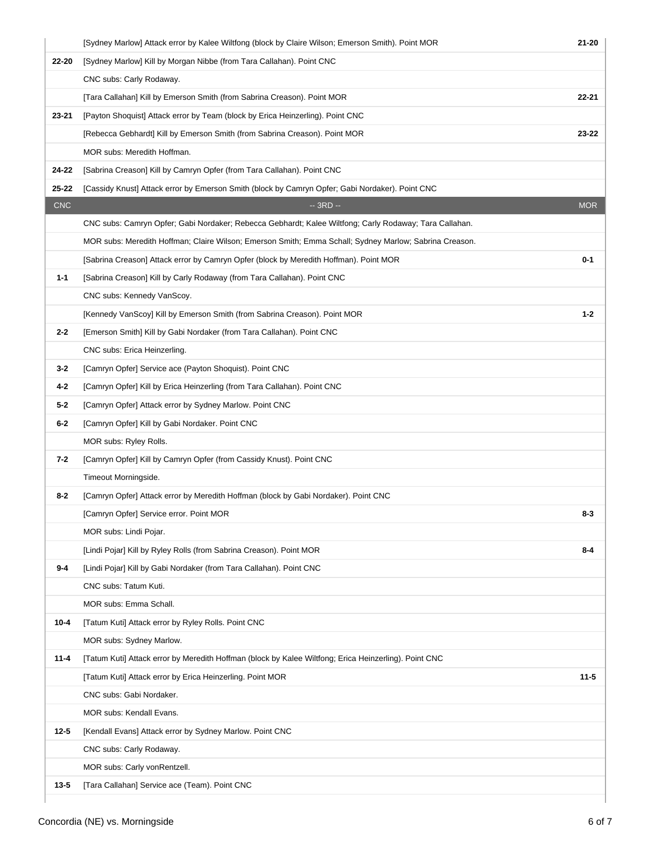|            | [Sydney Marlow] Attack error by Kalee Wiltfong (block by Claire Wilson; Emerson Smith). Point MOR      | 21-20      |
|------------|--------------------------------------------------------------------------------------------------------|------------|
| 22-20      | [Sydney Marlow] Kill by Morgan Nibbe (from Tara Callahan). Point CNC                                   |            |
|            | CNC subs: Carly Rodaway.                                                                               |            |
|            | [Tara Callahan] Kill by Emerson Smith (from Sabrina Creason). Point MOR                                | 22-21      |
| 23-21      | [Payton Shoquist] Attack error by Team (block by Erica Heinzerling). Point CNC                         |            |
|            | [Rebecca Gebhardt] Kill by Emerson Smith (from Sabrina Creason). Point MOR                             | 23-22      |
|            | MOR subs: Meredith Hoffman.                                                                            |            |
| 24-22      | [Sabrina Creason] Kill by Camryn Opfer (from Tara Callahan). Point CNC                                 |            |
| $25 - 22$  | [Cassidy Knust] Attack error by Emerson Smith (block by Camryn Opfer; Gabi Nordaker). Point CNC        |            |
| <b>CNC</b> | $-3RD -$                                                                                               | <b>MOR</b> |
|            | CNC subs: Camryn Opfer; Gabi Nordaker; Rebecca Gebhardt; Kalee Wiltfong; Carly Rodaway; Tara Callahan. |            |
|            | MOR subs: Meredith Hoffman; Claire Wilson; Emerson Smith; Emma Schall; Sydney Marlow; Sabrina Creason. |            |
|            | [Sabrina Creason] Attack error by Camryn Opfer (block by Meredith Hoffman). Point MOR                  | $0 - 1$    |
| $1 - 1$    | [Sabrina Creason] Kill by Carly Rodaway (from Tara Callahan). Point CNC                                |            |
|            | CNC subs: Kennedy VanScoy.                                                                             |            |
|            | [Kennedy VanScoy] Kill by Emerson Smith (from Sabrina Creason). Point MOR                              | $1 - 2$    |
| $2 - 2$    | [Emerson Smith] Kill by Gabi Nordaker (from Tara Callahan). Point CNC                                  |            |
|            | CNC subs: Erica Heinzerling.                                                                           |            |
| $3 - 2$    | [Camryn Opfer] Service ace (Payton Shoquist). Point CNC                                                |            |
| 4-2        | [Camryn Opfer] Kill by Erica Heinzerling (from Tara Callahan). Point CNC                               |            |
| $5 - 2$    | [Camryn Opfer] Attack error by Sydney Marlow. Point CNC                                                |            |
| $6-2$      | [Camryn Opfer] Kill by Gabi Nordaker. Point CNC                                                        |            |
|            | MOR subs: Ryley Rolls.                                                                                 |            |
| 7-2        | [Camryn Opfer] Kill by Camryn Opfer (from Cassidy Knust). Point CNC                                    |            |
|            | Timeout Morningside.                                                                                   |            |
| $8-2$      | [Camryn Opfer] Attack error by Meredith Hoffman (block by Gabi Nordaker). Point CNC                    |            |
|            | [Camryn Opfer] Service error. Point MOR                                                                | $8 - 3$    |
|            | MOR subs: Lindi Pojar.                                                                                 |            |
|            | [Lindi Pojar] Kill by Ryley Rolls (from Sabrina Creason). Point MOR                                    | $8 - 4$    |
| $9 - 4$    | [Lindi Pojar] Kill by Gabi Nordaker (from Tara Callahan). Point CNC                                    |            |
|            | CNC subs: Tatum Kuti.                                                                                  |            |
|            | MOR subs: Emma Schall.                                                                                 |            |
| $10 - 4$   | [Tatum Kuti] Attack error by Ryley Rolls. Point CNC                                                    |            |
|            | MOR subs: Sydney Marlow.                                                                               |            |
| $11 - 4$   | [Tatum Kuti] Attack error by Meredith Hoffman (block by Kalee Wiltfong; Erica Heinzerling). Point CNC  |            |
|            | [Tatum Kuti] Attack error by Erica Heinzerling. Point MOR                                              | $11 - 5$   |
|            | CNC subs: Gabi Nordaker.                                                                               |            |
|            | MOR subs: Kendall Evans.                                                                               |            |
| $12 - 5$   | [Kendall Evans] Attack error by Sydney Marlow. Point CNC                                               |            |
|            | CNC subs: Carly Rodaway.                                                                               |            |
|            | MOR subs: Carly vonRentzell.                                                                           |            |
| $13 - 5$   | [Tara Callahan] Service ace (Team). Point CNC                                                          |            |
|            |                                                                                                        |            |